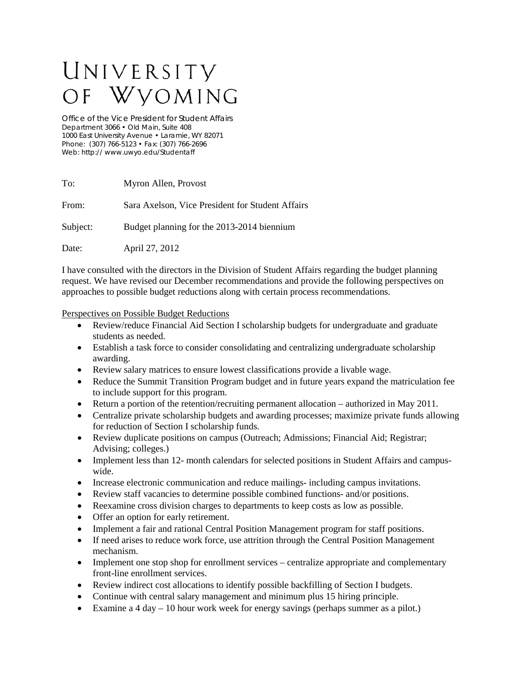## UNIVERSITY OF WYOMING

Office of the Vice President for Student Affairs Department 3066 • Old Main, Suite 408 1000 East University Avenue • Laramie, WY 82071 Phone: (307) 766-5123 • Fax: (307) 766-2696 Web: http:// www.uwyo.edu/Studentaff

| To:      | Myron Allen, Provost                             |
|----------|--------------------------------------------------|
| From:    | Sara Axelson, Vice President for Student Affairs |
| Subject: | Budget planning for the 2013-2014 biennium       |
| Date:    | April 27, 2012                                   |

I have consulted with the directors in the Division of Student Affairs regarding the budget planning request. We have revised our December recommendations and provide the following perspectives on approaches to possible budget reductions along with certain process recommendations.

Perspectives on Possible Budget Reductions

- Review/reduce Financial Aid Section I scholarship budgets for undergraduate and graduate students as needed.
- Establish a task force to consider consolidating and centralizing undergraduate scholarship awarding.
- Review salary matrices to ensure lowest classifications provide a livable wage.
- Reduce the Summit Transition Program budget and in future years expand the matriculation fee to include support for this program.
- Return a portion of the retention/recruiting permanent allocation authorized in May 2011.
- Centralize private scholarship budgets and awarding processes; maximize private funds allowing for reduction of Section I scholarship funds.
- Review duplicate positions on campus (Outreach; Admissions; Financial Aid; Registrar; Advising; colleges.)
- Implement less than 12- month calendars for selected positions in Student Affairs and campuswide.
- Increase electronic communication and reduce mailings- including campus invitations.
- Review staff vacancies to determine possible combined functions- and/or positions.
- Reexamine cross division charges to departments to keep costs as low as possible.
- Offer an option for early retirement.
- Implement a fair and rational Central Position Management program for staff positions.
- If need arises to reduce work force, use attrition through the Central Position Management mechanism.
- Implement one stop shop for enrollment services centralize appropriate and complementary front-line enrollment services.
- Review indirect cost allocations to identify possible backfilling of Section I budgets.
- Continue with central salary management and minimum plus 15 hiring principle.
- Examine a 4 day 10 hour work week for energy savings (perhaps summer as a pilot.)